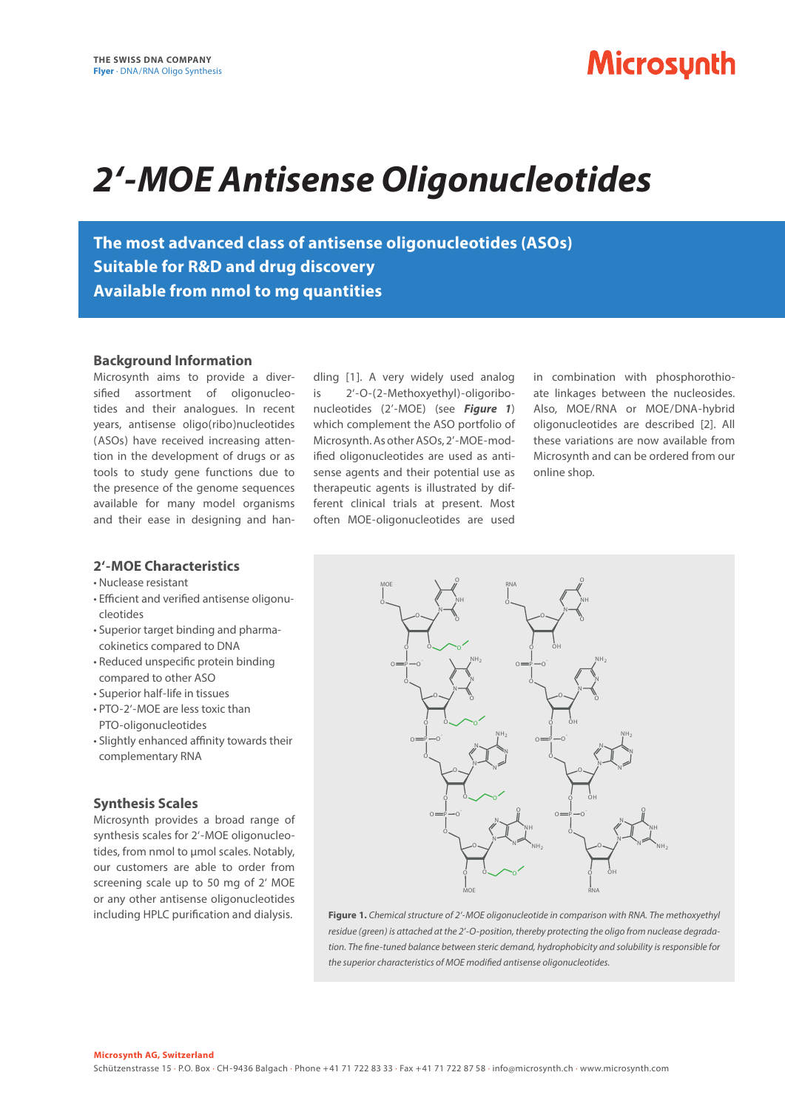### **Microsynth**

# *2'-MOE Antisense Oligonucleotides*

**The most advanced class of antisense oligonucleotides (ASOs) Suitable for R&D and drug discovery Available from nmol to mg quantities**

#### **Background Information**

Microsynth aims to provide a diversified assortment of oligonucleotides and their analogues. In recent years, antisense oligo(ribo)nucleotides ( ASOs) have received increasing attention in the development of drugs or as tools to study gene functions due to the presence of the genome sequences available for many model organisms and their ease in designing and han-

dling [1]. A very widely used analog is 2'-O-(2-Methoxyethyl)-oligoribonucleotides (2'-MOE) (see *Figure 1*) which complement the ASO portfolio of Microsynth. As other ASOs, 2'-MOE-modified oligonucleotides are used as antisense agents and their potential use as therapeutic agents is illustrated by different clinical trials at present. Most often MOE-oligonucleotides are used

in combination with phosphorothioate linkages between the nucleosides. Also, MOE/RNA or MOE/DNA-hybrid oligonucleotides are described [2]. All these variations are now available from Microsynth and can be ordered from our online shop.

### **2'-MOE Characteristics**

- Nuclease resistant
- Efficient and verified antisense oligonucleotides
- Superior target binding and pharmacokinetics compared to DNA
- Reduced unspecific protein binding compared to other ASO
- Superior half-life in tissues
- PTO-2'-MOE are less toxic than PTO-oligonucleotides
- Slightly enhanced affinity towards their complementary RNA

### **Synthesis Scales**

Microsynth provides a broad range of synthesis scales for 2'-MOE oligonucleotides, from nmol to umol scales. Notably, our customers are able to order from screening scale up to 50 mg of 2' MOE or any other antisense oligonucleotides including HPLC purification and dialysis.



**Figure 1.** *Chemical structure of 2'-MOE oligonucleotide in comparison with RNA. The methoxyethyl residue (green) is attached at the 2'-O-position, thereby protecting the oligo from nuclease degradation. The fine-tuned balance between steric demand, hydrophobicity and solubility is responsible for the superior characteristics of MOE modified antisense oligonucleotides.*